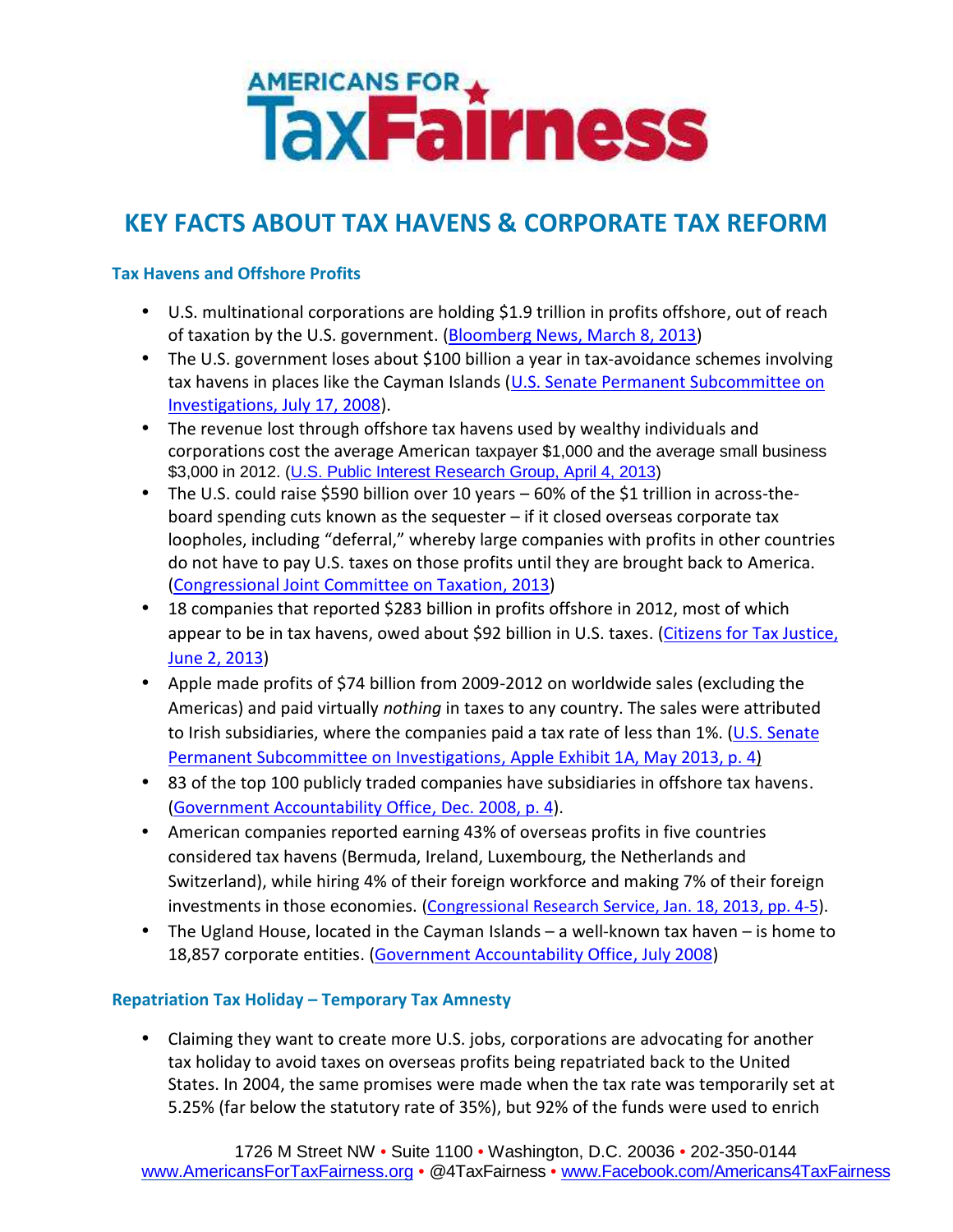# **AMERICANS FOR A**<br>Tax**Fairness**

# **KEY FACTS ABOUT TAX HAVENS & CORPORATE TAX REFORM**

## **Tax Havens and Offshore Profits**

- U.S. multinational corporations are holding \$1.9 trillion in profits offshore, out of reach of taxation by the U.S. government. (Bloomberg News, March 8, 2013)
- The U.S. government loses about \$100 billion a year in tax-avoidance schemes involving tax havens in places like the Cayman Islands (U.S. Senate Permanent Subcommittee on Investigations, July 17, 2008).
- The revenue lost through offshore tax havens used by wealthy individuals and corporations cost the average American taxpayer \$1,000 and the average small business \$3,000 in 2012. (U.S. Public Interest Research Group, April 4, 2013)
- The U.S. could raise \$590 billion over 10 years 60% of the \$1 trillion in across-theboard spending cuts known as the sequester – if it closed overseas corporate tax loopholes, including "deferral," whereby large companies with profits in other countries do not have to pay U.S. taxes on those profits until they are brought back to America. (Congressional Joint Committee on Taxation, 2013)
- 18 companies that reported \$283 billion in profits offshore in 2012, most of which appear to be in tax havens, owed about \$92 billion in U.S. taxes. (Citizens for Tax Justice, June 2, 2013)
- Apple made profits of \$74 billion from 2009-2012 on worldwide sales (excluding the Americas) and paid virtually *nothing* in taxes to any country. The sales were attributed to Irish subsidiaries, where the companies paid a tax rate of less than 1%. (U.S. Senate Permanent Subcommittee on Investigations, Apple Exhibit 1A, May 2013, p. 4)
- 83 of the top 100 publicly traded companies have subsidiaries in offshore tax havens. (Government Accountability Office, Dec. 2008, p. 4).
- American companies reported earning 43% of overseas profits in five countries considered tax havens (Bermuda, Ireland, Luxembourg, the Netherlands and Switzerland), while hiring 4% of their foreign workforce and making 7% of their foreign investments in those economies. (Congressional Research Service, Jan. 18, 2013, pp. 4-5).
- The Ugland House, located in the Cayman Islands a well-known tax haven is home to 18,857 corporate entities. (Government Accountability Office, July 2008)

### **Repatriation Tax Holiday – Temporary Tax Amnesty**

 Claiming they want to create more U.S. jobs, corporations are advocating for another tax holiday to avoid taxes on overseas profits being repatriated back to the United States. In 2004, the same promises were made when the tax rate was temporarily set at 5.25% (far below the statutory rate of 35%), but 92% of the funds were used to enrich